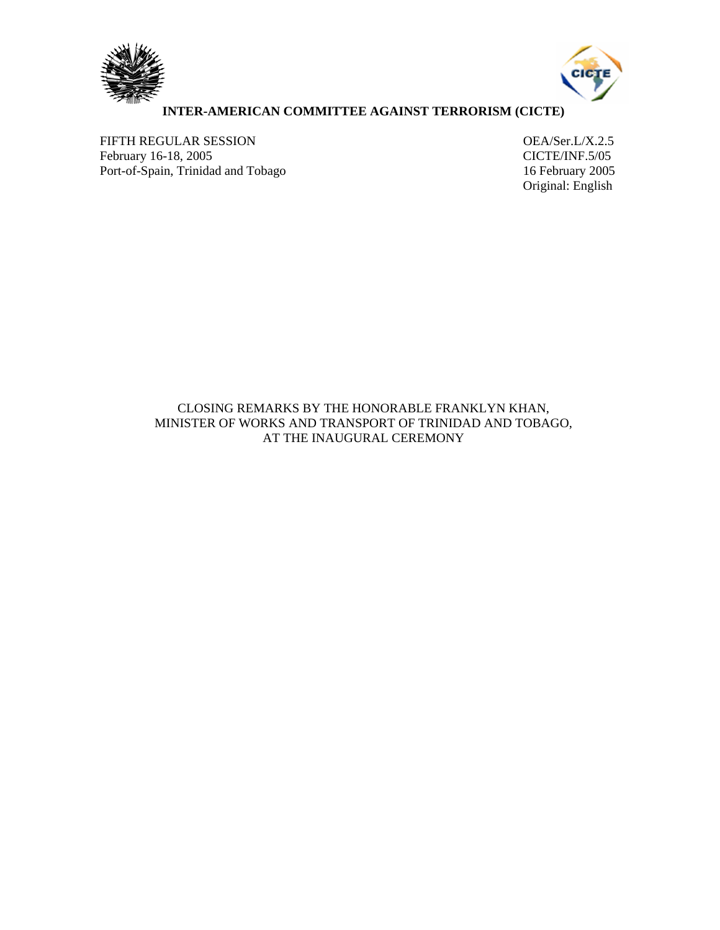



## **INTER-AMERICAN COMMITTEE AGAINST TERRORISM (CICTE)**

FIFTH REGULAR SESSION<br>
February 16-18, 2005<br>
CICTE/INF.5/05 February 16-18, 2005<br>
Port-of-Spain, Trinidad and Tobago<br>
16 February 2005 Port-of-Spain, Trinidad and Tobago

Original: English

CLOSING REMARKS BY THE HONORABLE FRANKLYN KHAN, MINISTER OF WORKS AND TRANSPORT OF TRINIDAD AND TOBAGO, AT THE INAUGURAL CEREMONY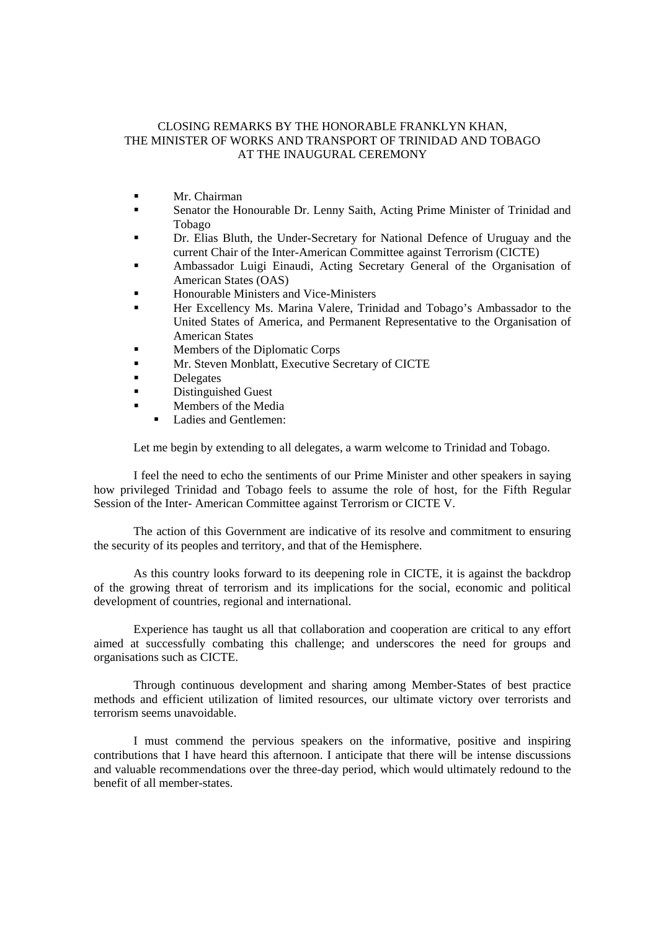## CLOSING REMARKS BY THE HONORABLE FRANKLYN KHAN, THE MINISTER OF WORKS AND TRANSPORT OF TRINIDAD AND TOBAGO AT THE INAUGURAL CEREMONY

- **Mr.** Chairman
- Senator the Honourable Dr. Lenny Saith, Acting Prime Minister of Trinidad and Tobago
- Dr. Elias Bluth, the Under-Secretary for National Defence of Uruguay and the current Chair of the Inter-American Committee against Terrorism (CICTE)
- Ambassador Luigi Einaudi, Acting Secretary General of the Organisation of American States (OAS)
- Honourable Ministers and Vice-Ministers
- Her Excellency Ms. Marina Valere, Trinidad and Tobago's Ambassador to the United States of America, and Permanent Representative to the Organisation of American States
- **Members of the Diplomatic Corps**
- Mr. Steven Monblatt, Executive Secretary of CICTE
- **Delegates**
- **Distinguished Guest**
- **Members of the Media** 
	- Ladies and Gentlemen:

Let me begin by extending to all delegates, a warm welcome to Trinidad and Tobago.

I feel the need to echo the sentiments of our Prime Minister and other speakers in saying how privileged Trinidad and Tobago feels to assume the role of host, for the Fifth Regular Session of the Inter- American Committee against Terrorism or CICTE V.

The action of this Government are indicative of its resolve and commitment to ensuring the security of its peoples and territory, and that of the Hemisphere.

As this country looks forward to its deepening role in CICTE, it is against the backdrop of the growing threat of terrorism and its implications for the social, economic and political development of countries, regional and international.

Experience has taught us all that collaboration and cooperation are critical to any effort aimed at successfully combating this challenge; and underscores the need for groups and organisations such as CICTE.

Through continuous development and sharing among Member-States of best practice methods and efficient utilization of limited resources, our ultimate victory over terrorists and terrorism seems unavoidable.

I must commend the pervious speakers on the informative, positive and inspiring contributions that I have heard this afternoon. I anticipate that there will be intense discussions and valuable recommendations over the three-day period, which would ultimately redound to the benefit of all member-states.